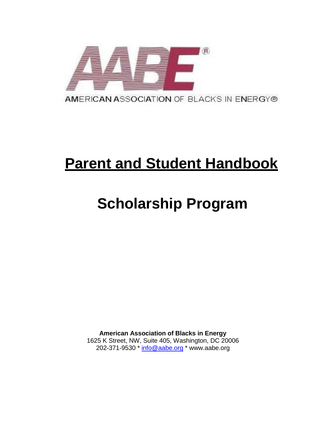

# **Parent and Student Handbook**

# **Scholarship Program**

**American Association of Blacks in Energy** 1625 K Street, NW, Suite 405, Washington, DC 20006 202-371-9530 \* [info@aabe.org](mailto:info@aabe.org) \* www.aabe.org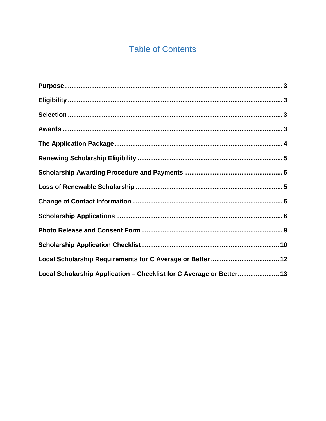## **Table of Contents**

| Local Scholarship Application - Checklist for C Average or Better 13 |  |
|----------------------------------------------------------------------|--|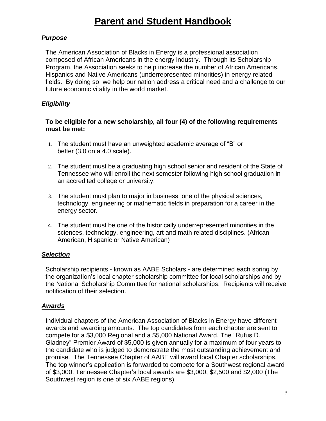## **Parent and Student Handbook**

#### <span id="page-2-0"></span>*Purpose*

The American Association of Blacks in Energy is a professional association composed of African Americans in the energy industry. Through its Scholarship Program, the Association seeks to help increase the number of African Americans, Hispanics and Native Americans (underrepresented minorities) in energy related fields. By doing so, we help our nation address a critical need and a challenge to our future economic vitality in the world market.

#### <span id="page-2-1"></span>*Eligibility*

#### **To be eligible for a new scholarship, all four (4) of the following requirements must be met:**

- 1. The student must have an unweighted academic average of "B" or better (3.0 on a 4.0 scale).
- 2. The student must be a graduating high school senior and resident of the State of Tennessee who will enroll the next semester following high school graduation in an accredited college or university.
- 3. The student must plan to major in business, one of the physical sciences, technology, engineering or mathematic fields in preparation for a career in the energy sector.
- 4. The student must be one of the historically underrepresented minorities in the sciences, technology, engineering, art and math related disciplines. (African American, Hispanic or Native American)

#### <span id="page-2-2"></span>*Selection*

Scholarship recipients - known as AABE Scholars - are determined each spring by the organization's local chapter scholarship committee for local scholarships and by the National Scholarship Committee for national scholarships. Recipients will receive notification of their selection.

#### <span id="page-2-3"></span>*Awards*

Individual chapters of the American Association of Blacks in Energy have different awards and awarding amounts. The top candidates from each chapter are sent to compete for a \$3,000 Regional and a \$5,000 National Award. The "Rufus D. Gladney" Premier Award of \$5,000 is given annually for a maximum of four years to the candidate who is judged to demonstrate the most outstanding achievement and promise. The Tennessee Chapter of AABE will award local Chapter scholarships. The top winner's application is forwarded to compete for a Southwest regional award of \$3,000. Tennessee Chapter's local awards are \$3,000, \$2,500 and \$2,000 (The Southwest region is one of six AABE regions).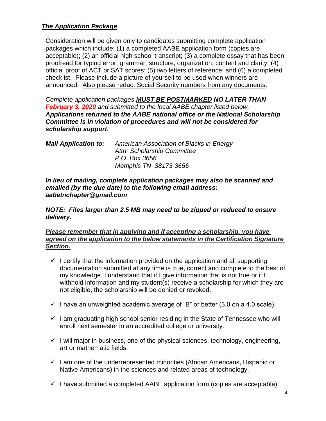#### <span id="page-3-0"></span>*The Application Package*

Consideration will be given only to candidates submitting complete application packages which include: (1) a completed AABE application form (copies are acceptable); (2) an official high school transcript; (3) a complete essay that has been proofread for typing error, grammar, structure, organization, content and clarity; (4) official proof of ACT or SAT scores; (5) two letters of reference; and (6) a completed checklist. Please include a picture of yourself to be used when winners are announced. Also please redact Social Security numbers from any documents.

*Complete application packages MUST BE POSTMARKED NO LATER THAN February 3. 2020 and submitted to the local AABE chapter listed below. Applications returned to the AABE national office or the National Scholarship Committee is in violation of procedures and will not be considered for scholarship support.*

*Mail Application to: American Association of Blacks in Energy Attn: Scholarship Committee P.O. Box 3656 Memphis TN 38173-3656*

*In lieu of mailing, complete application packages may also be scanned and emailed (by the due date) to the following email address: aabetnchapter@gmail.com*

*NOTE: Files larger than 2.5 MB may need to be zipped or reduced to ensure delivery.*

#### *Please remember that in applying and if accepting a scholarship, you have agreed on the application to the below statements in the Certification Signature Section.*

- $\checkmark$  I certify that the information provided on the application and all supporting documentation submitted at any time is true, correct and complete to the best of my knowledge. I understand that if I give information that is not true or if I withhold information and my student(s) receive a scholarship for which they are not eligible, the scholarship will be denied or revoked.
- $\checkmark$  I have an unweighted academic average of "B" or better (3.0 on a 4.0 scale).
- $\checkmark$  I am graduating high school senior residing in the State of Tennessee who will enroll next semester in an accredited college or university.
- $\checkmark$  I will major in business, one of the physical sciences, technology, engineering, art or mathematic fields.
- $\checkmark$  I am one of the underrepresented minorities (African Americans, Hispanic or Native Americans) in the sciences and related areas of technology.
- $\checkmark$  I have submitted a completed AABE application form (copies are acceptable).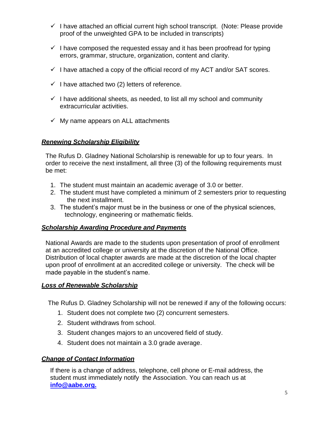- $\checkmark$  I have attached an official current high school transcript. (Note: Please provide proof of the unweighted GPA to be included in transcripts)
- $\checkmark$  I have composed the requested essay and it has been proofread for typing errors, grammar, structure, organization, content and clarity.
- $\checkmark$  I have attached a copy of the official record of my ACT and/or SAT scores.
- $\checkmark$  I have attached two (2) letters of reference.
- $\checkmark$  I have additional sheets, as needed, to list all my school and community extracurricular activities.
- $\checkmark$  My name appears on ALL attachments

#### <span id="page-4-0"></span>*Renewing Scholarship Eligibility*

The Rufus D. Gladney National Scholarship is renewable for up to four years. In order to receive the next installment, all three (3) of the following requirements must be met:

- 1. The student must maintain an academic average of 3.0 or better.
- 2. The student must have completed a minimum of 2 semesters prior to requesting the next installment.
- 3. The student's major must be in the business or one of the physical sciences, technology, engineering or mathematic fields.

#### <span id="page-4-1"></span>*Scholarship Awarding Procedure and Payments*

National Awards are made to the students upon presentation of proof of enrollment at an accredited college or university at the discretion of the National Office. Distribution of local chapter awards are made at the discretion of the local chapter upon proof of enrollment at an accredited college or university. The check will be made payable in the student's name.

#### <span id="page-4-2"></span>*Loss of Renewable Scholarship*

The Rufus D. Gladney Scholarship will not be renewed if any of the following occurs:

- 1. Student does not complete two (2) concurrent semesters.
- 2. Student withdraws from school.
- 3. Student changes majors to an uncovered field of study.
- 4. Student does not maintain a 3.0 grade average.

#### <span id="page-4-3"></span>*Change of Contact Information*

If there is a change of address, telephone, cell phone or E-mail address, the student must immediately notify the Association. You can reach us at **[info@aabe.org.](mailto:info@aabe.org.)**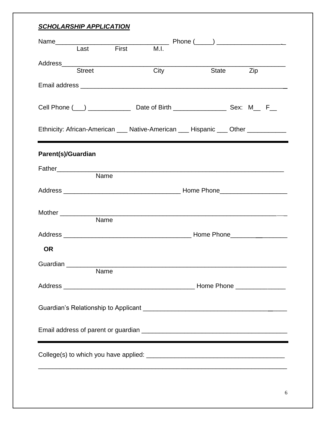#### <span id="page-5-0"></span>*SCHOLARSHIP APPLICATION*

|                           | Last First                                                                                                           | M.I. |  |                                                                                  |
|---------------------------|----------------------------------------------------------------------------------------------------------------------|------|--|----------------------------------------------------------------------------------|
|                           |                                                                                                                      |      |  |                                                                                  |
|                           | <b>Street</b>                                                                                                        | City |  | State Zip                                                                        |
|                           |                                                                                                                      |      |  |                                                                                  |
|                           |                                                                                                                      |      |  |                                                                                  |
|                           |                                                                                                                      |      |  | Ethnicity: African-American ___ Native-American ___ Hispanic ___ Other _________ |
| <b>Parent(s)/Guardian</b> |                                                                                                                      |      |  |                                                                                  |
|                           |                                                                                                                      |      |  |                                                                                  |
|                           | Name                                                                                                                 |      |  |                                                                                  |
|                           |                                                                                                                      |      |  |                                                                                  |
|                           |                                                                                                                      |      |  |                                                                                  |
|                           |                                                                                                                      |      |  |                                                                                  |
|                           | Name                                                                                                                 |      |  |                                                                                  |
|                           |                                                                                                                      |      |  |                                                                                  |
| <b>OR</b>                 |                                                                                                                      |      |  |                                                                                  |
| Guardian                  |                                                                                                                      |      |  |                                                                                  |
|                           | Name                                                                                                                 |      |  |                                                                                  |
|                           |                                                                                                                      |      |  |                                                                                  |
|                           |                                                                                                                      |      |  |                                                                                  |
|                           |                                                                                                                      |      |  |                                                                                  |
|                           | <u> 1980 - Jan Sterling van de Fryske kalender op de Fryske kalender op de Fryske kalender op de Fryske kalender</u> |      |  |                                                                                  |
|                           |                                                                                                                      |      |  |                                                                                  |
|                           |                                                                                                                      |      |  |                                                                                  |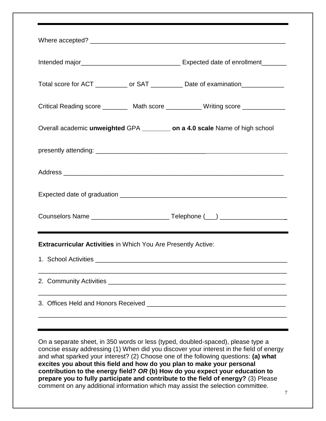| Total score for ACT ___________ or SAT ___________ Date of examination___________ |  |  |  |  |  |
|-----------------------------------------------------------------------------------|--|--|--|--|--|
| Critical Reading score _________ Math score ___________Writing score ___________  |  |  |  |  |  |
| Overall academic unweighted GPA _________ on a 4.0 scale Name of high school      |  |  |  |  |  |
|                                                                                   |  |  |  |  |  |
|                                                                                   |  |  |  |  |  |
|                                                                                   |  |  |  |  |  |
|                                                                                   |  |  |  |  |  |
| <b>Extracurricular Activities in Which You Are Presently Active:</b>              |  |  |  |  |  |
|                                                                                   |  |  |  |  |  |
|                                                                                   |  |  |  |  |  |
| 3. Offices Held and Honors Received                                               |  |  |  |  |  |
|                                                                                   |  |  |  |  |  |

On a separate sheet, in 350 words or less (typed, doubled-spaced), please type a concise essay addressing (1) When did you discover your interest in the field of energy and what sparked your interest? (2) Choose one of the following questions: **(a) what excites you about this field and how do you plan to make your personal contribution to the energy field?** *OR* **(b) How do you expect your education to prepare you to fully participate and contribute to the field of energy?** (3) Please comment on any additional information which may assist the selection committee.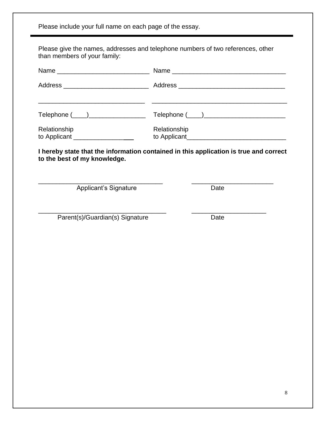<span id="page-7-0"></span>Please include your full name on each page of the essay. Please give the names, addresses and telephone numbers of two references, other than members of your family: Name \_\_\_\_\_\_\_\_\_\_\_\_\_\_\_\_\_\_\_\_\_\_\_\_\_\_ Name \_\_\_\_\_\_\_\_\_\_\_\_\_\_\_\_\_\_\_\_\_\_\_\_\_\_\_\_\_\_\_\_ Address \_\_\_\_\_\_\_\_\_\_\_\_\_\_\_\_\_\_\_\_\_\_\_\_ Address \_\_\_\_\_\_\_\_\_\_\_\_\_\_\_\_\_\_\_\_\_\_\_\_\_\_\_\_\_\_ \_\_\_\_\_\_\_\_\_\_\_\_\_\_\_\_\_\_\_\_\_\_\_\_\_\_\_\_\_\_ \_\_\_\_\_\_\_\_\_\_\_\_\_\_\_\_\_\_\_\_\_\_\_\_\_\_\_\_\_\_\_\_\_\_\_\_\_\_  $\text{Telephone} (\_\_)$   $\text{Telephone} (\_\_)$ Relationship Relationship to Applicant \_\_\_\_\_\_\_\_\_\_\_\_\_\_ to Applicant\_\_\_\_\_\_\_\_\_\_\_\_\_\_\_\_\_\_\_\_\_\_\_\_\_\_\_\_ **I hereby state that the information contained in this application is true and correct to the best of my knowledge.** \_\_\_\_\_\_\_\_\_\_\_\_\_\_\_\_\_\_\_\_\_\_\_\_\_\_\_\_\_\_\_\_\_\_\_ \_\_\_\_\_\_\_\_\_\_\_\_\_\_\_\_\_\_\_\_\_\_\_ Applicant's Signature **Date** \_\_\_\_\_\_\_\_\_\_\_\_\_\_\_\_\_\_\_\_\_\_\_\_\_\_\_\_\_\_\_\_\_\_\_\_ \_\_\_\_\_\_\_\_\_\_\_\_\_\_\_\_\_\_\_\_\_ Parent(s)/Guardian(s) Signature Date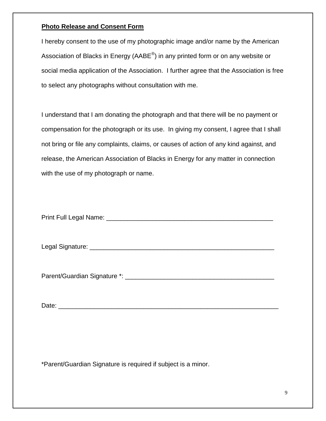#### **Photo Release and Consent Form**

I hereby consent to the use of my photographic image and/or name by the American Association of Blacks in Energy (AABE $^{\circledR}$ ) in any printed form or on any website or social media application of the Association. I further agree that the Association is free to select any photographs without consultation with me.

I understand that I am donating the photograph and that there will be no payment or compensation for the photograph or its use. In giving my consent, I agree that I shall not bring or file any complaints, claims, or causes of action of any kind against, and release, the American Association of Blacks in Energy for any matter in connection with the use of my photograph or name.

Print Full Legal Name: **Example 20** Final Asset of the United States of the United States of the United States of the United States of the United States of the United States of the United States of the United States of the

Legal Signature: \_\_\_\_\_\_\_\_\_\_\_\_\_\_\_\_\_\_\_\_\_\_\_\_\_\_\_\_\_\_\_\_\_\_\_\_\_\_\_\_\_\_\_\_\_\_\_\_\_\_\_\_

Parent/Guardian Signature \*: \_\_\_\_\_\_\_\_\_\_\_\_\_\_\_\_\_\_\_\_\_\_\_\_\_\_\_\_\_\_\_\_\_\_\_\_\_\_\_\_\_\_

Date: \_\_\_\_\_\_\_\_\_\_\_\_\_\_\_\_\_\_\_\_\_\_\_\_\_\_\_\_\_\_\_\_\_\_\_\_\_\_\_\_\_\_\_\_\_\_\_\_\_\_\_\_\_\_\_\_\_\_\_\_\_\_

\*Parent/Guardian Signature is required if subject is a minor.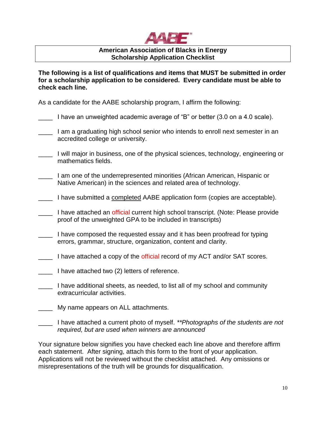

#### **American Association of Blacks in Energy Scholarship Application Checklist**

**The following is a list of qualifications and items that MUST be submitted in order for a scholarship application to be considered. Every candidate must be able to check each line.**

As a candidate for the AABE scholarship program, I affirm the following:

| I have an unweighted academic average of "B" or better (3.0 on a 4.0 scale). |  |  |  |
|------------------------------------------------------------------------------|--|--|--|
|                                                                              |  |  |  |

- \_\_\_\_ I am a graduating high school senior who intends to enroll next semester in an accredited college or university.
- \_\_\_\_ I will major in business, one of the physical sciences, technology, engineering or mathematics fields.
- \_\_\_\_ I am one of the underrepresented minorities (African American, Hispanic or Native American) in the sciences and related area of technology.
- \_\_\_\_ I have submitted a completed AABE application form (copies are acceptable).
- \_\_\_\_ I have attached an official current high school transcript. (Note: Please provide proof of the unweighted GPA to be included in transcripts)
- \_\_\_\_ I have composed the requested essay and it has been proofread for typing errors, grammar, structure, organization, content and clarity.
- I have attached a copy of the official record of my ACT and/or SAT scores.
- \_\_\_\_ I have attached two (2) letters of reference.
- \_\_\_\_ I have additional sheets, as needed, to list all of my school and community extracurricular activities.
- My name appears on ALL attachments.
- \_\_\_\_ I have attached a current photo of myself. *\*\*Photographs of the students are not required, but are used when winners are announced*

Your signature below signifies you have checked each line above and therefore affirm each statement. After signing, attach this form to the front of your application. Applications will not be reviewed without the checklist attached. Any omissions or misrepresentations of the truth will be grounds for disqualification.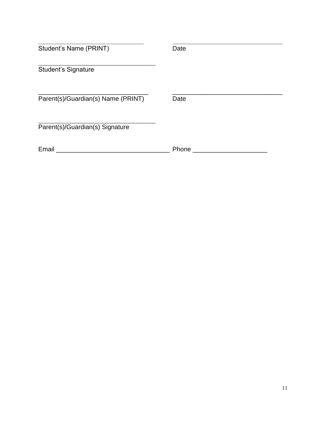| Student's Name (PRINT)             | Date  |  |
|------------------------------------|-------|--|
| <b>Student's Signature</b>         |       |  |
| Parent(s)/Guardian(s) Name (PRINT) | Date  |  |
| Parent(s)/Guardian(s) Signature    |       |  |
| Email                              | Phone |  |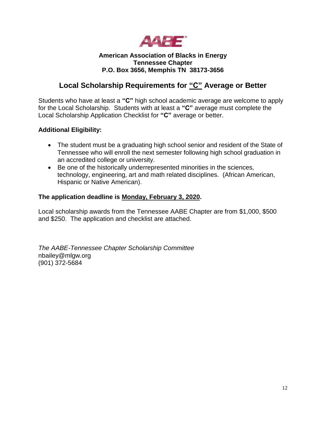

#### **American Association of Blacks in Energy Tennessee Chapter P.O. Box 3656, Memphis TN 38173-3656**

### **Local Scholarship Requirements for "C" Average or Better**

Students who have at least a **"C"** high school academic average are welcome to apply for the Local Scholarship. Students with at least a **"C"** average must complete the Local Scholarship Application Checklist for **"C"** average or better.

#### **Additional Eligibility:**

- The student must be a graduating high school senior and resident of the State of Tennessee who will enroll the next semester following high school graduation in an accredited college or university.
- Be one of the historically underrepresented minorities in the sciences, technology, engineering, art and math related disciplines. (African American, Hispanic or Native American).

#### **The application deadline is Monday, February 3, 2020.**

Local scholarship awards from the Tennessee AABE Chapter are from \$1,000, \$500 and \$250. The application and checklist are attached.

*The AABE-Tennessee Chapter Scholarship Committee* nbailey@mlgw.org (901) 372-5684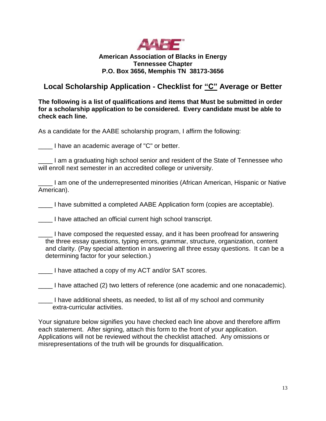

#### **American Association of Blacks in Energy Tennessee Chapter P.O. Box 3656, Memphis TN 38173-3656**

### **Local Scholarship Application - Checklist for "C" Average or Better**

**The following is a list of qualifications and items that Must be submitted in order for a scholarship application to be considered. Every candidate must be able to check each line.**

As a candidate for the AABE scholarship program, I affirm the following:

\_\_\_\_ I have an academic average of "C" or better.

\_\_\_\_ I am a graduating high school senior and resident of the State of Tennessee who will enroll next semester in an accredited college or university.

\_\_\_\_ I am one of the underrepresented minorities (African American, Hispanic or Native American).

\_\_\_\_ I have submitted a completed AABE Application form (copies are acceptable).

\_\_\_\_ I have attached an official current high school transcript.

I have attached a copy of my ACT and/or SAT scores.

\_\_\_\_ I have attached (2) two letters of reference (one academic and one nonacademic).

\_\_\_\_ I have additional sheets, as needed, to list all of my school and community extra-curricular activities.

Your signature below signifies you have checked each line above and therefore affirm each statement. After signing, attach this form to the front of your application. Applications will not be reviewed without the checklist attached. Any omissions or misrepresentations of the truth will be grounds for disqualification.

\_\_\_\_ I have composed the requested essay, and it has been proofread for answering the three essay questions, typing errors, grammar, structure, organization, content and clarity. (Pay special attention in answering all three essay questions. It can be a determining factor for your selection.)